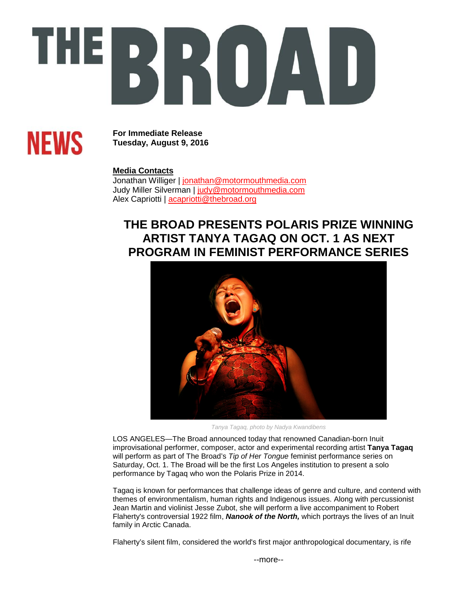# THEI **EXPLA**



**For Immediate Release Tuesday, August 9, 2016**

### **Media Contacts**

Jonathan Williger | [jonathan@motormouthmedia.com](mailto:jonathan@motormouthmedia.com) Judy Miller Silverman | [judy@motormouthmedia.com](mailto:judy@motormouthmedia.com) Alex Capriotti | acapriotti@thebroad.org

## **THE BROAD PRESENTS POLARIS PRIZE WINNING ARTIST TANYA TAGAQ ON OCT. 1 AS NEXT PROGRAM IN FEMINIST PERFORMANCE SERIES**



*Tanya Tagaq, photo by Nadya Kwandibens*

LOS ANGELES—The Broad announced today that renowned Canadian-born Inuit improvisational performer, composer, actor and experimental recording artist **Tanya Tagaq** will perform as part of The Broad's *Tip of Her Tongue* feminist performance series on Saturday, Oct. 1. The Broad will be the first Los Angeles institution to present a solo performance by Tagaq who won the Polaris Prize in 2014.

Tagaq is known for performances that challenge ideas of genre and culture, and contend with themes of environmentalism, human rights and Indigenous issues. Along with percussionist Jean Martin and violinist Jesse Zubot, she will perform a live accompaniment to Robert Flaherty's controversial 1922 film, *Nanook of the North,* which portrays the lives of an Inuit family in Arctic Canada.

Flaherty's silent film, considered the world's first major anthropological documentary, is rife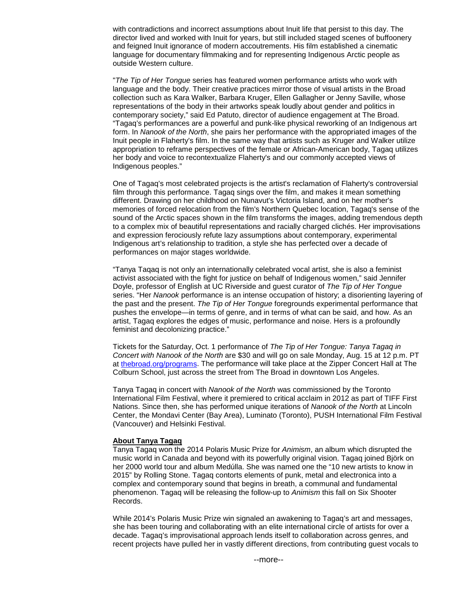with contradictions and incorrect assumptions about Inuit life that persist to this day. The director lived and worked with Inuit for years, but still included staged scenes of buffoonery and feigned Inuit ignorance of modern accoutrements. His film established a cinematic language for documentary filmmaking and for representing Indigenous Arctic people as outside Western culture.

"*The Tip of Her Tongue* series has featured women performance artists who work with language and the body. Their creative practices mirror those of visual artists in the Broad collection such as Kara Walker, Barbara Kruger, Ellen Gallagher or Jenny Saville, whose representations of the body in their artworks speak loudly about gender and politics in contemporary society," said Ed Patuto, director of audience engagement at The Broad. "Tagaq's performances are a powerful and punk-like physical reworking of an Indigenous art form. In *Nanook of the North*, she pairs her performance with the appropriated images of the Inuit people in Flaherty's film. In the same way that artists such as Kruger and Walker utilize appropriation to reframe perspectives of the female or African-American body, Tagaq utilizes her body and voice to recontextualize Flaherty's and our commonly accepted views of Indigenous peoples."

One of Tagaq's most celebrated projects is the artist's reclamation of Flaherty's controversial film through this performance. Tagaq sings over the film, and makes it mean something different. Drawing on her childhood on Nunavut's Victoria Island, and on her mother's memories of forced relocation from the film's Northern Quebec location, Tagaq's sense of the sound of the Arctic spaces shown in the film transforms the images, adding tremendous depth to a complex mix of beautiful representations and racially charged clichés. Her improvisations and expression ferociously refute lazy assumptions about contemporary, experimental Indigenous art's relationship to tradition, a style she has perfected over a decade of performances on major stages worldwide.

"Tanya Taqaq is not only an internationally celebrated vocal artist, she is also a feminist activist associated with the fight for justice on behalf of Indigenous women," said Jennifer Doyle, professor of English at UC Riverside and guest curator of *The Tip of Her Tongue* series. "Her *Nanook* performance is an intense occupation of history; a disorienting layering of the past and the present. *The Tip of Her Tongue* foregrounds experimental performance that pushes the envelope—in terms of genre, and in terms of what can be said, and how. As an artist, Tagaq explores the edges of music, performance and noise. Hers is a profoundly feminist and decolonizing practice."

Tickets for the Saturday, Oct. 1 performance of *The Tip of Her Tongue: Tanya Tagaq in Concert with Nanook of the North* are \$30 and will go on sale Monday, Aug. 15 at 12 p.m. PT at [thebroad.org/programs.](http://www.thebroad.org/programs) The performance will take place at the Zipper Concert Hall at The Colburn School, just across the street from The Broad in downtown Los Angeles.

Tanya Tagaq in concert with *Nanook of the North* was commissioned by the Toronto International Film Festival, where it premiered to critical acclaim in 2012 as part of TIFF First Nations. Since then, she has performed unique iterations of *Nanook of the North* at Lincoln Center, the Mondavi Center (Bay Area), Luminato (Toronto), PUSH International Film Festival (Vancouver) and Helsinki Festival.

#### **About Tanya Tagaq**

Tanya Tagaq won the 2014 Polaris Music Prize for *Animism*, an album which disrupted the music world in Canada and beyond with its powerfully original vision. Tagaq joined Björk on her 2000 world tour and album Medúlla. She was named one the "10 new artists to know in 2015" by Rolling Stone. Tagaq contorts elements of punk, metal and electronica into a complex and contemporary sound that begins in breath, a communal and fundamental phenomenon. Tagaq will be releasing the follow-up to *Animism* this fall on Six Shooter Records.

While 2014's Polaris Music Prize win signaled an awakening to Tagaq's art and messages, she has been touring and collaborating with an elite international circle of artists for over a decade. Tagaq's improvisational approach lends itself to collaboration across genres, and recent projects have pulled her in vastly different directions, from contributing guest vocals to